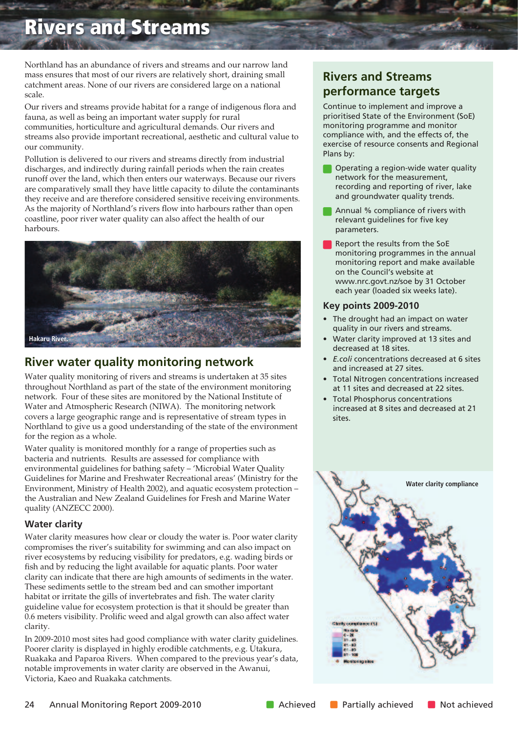# **Rivers and Streams**

Northland has an abundance of rivers and streams and our narrow land mass ensures that most of our rivers are relatively short, draining small catchment areas. None of our rivers are considered large on a national scale.

Our rivers and streams provide habitat for a range of indigenous flora and fauna, as well as being an important water supply for rural communities, horticulture and agricultural demands. Our rivers and streams also provide important recreational, aesthetic and cultural value to our community.

Pollution is delivered to our rivers and streams directly from industrial discharges, and indirectly during rainfall periods when the rain creates runoff over the land, which then enters our waterways. Because our rivers are comparatively small they have little capacity to dilute the contaminants they receive and are therefore considered sensitive receiving environments. As the majority of Northland's rivers flow into harbours rather than open coastline, poor river water quality can also affect the health of our harbours.



### **River water quality monitoring network**

Water quality monitoring of rivers and streams is undertaken at 35 sites throughout Northland as part of the state of the environment monitoring network. Four of these sites are monitored by the National Institute of Water and Atmospheric Research (NIWA). The monitoring network covers a large geographic range and is representative of stream types in Northland to give us a good understanding of the state of the environment for the region as a whole.

Water quality is monitored monthly for a range of properties such as bacteria and nutrients. Results are assessed for compliance with environmental guidelines for bathing safety – 'Microbial Water Quality Guidelines for Marine and Freshwater Recreational areas' (Ministry for the Environment, Ministry of Health 2002), and aquatic ecosystem protection – the Australian and New Zealand Guidelines for Fresh and Marine Water quality (ANZECC 2000).

#### **Water clarity**

Water clarity measures how clear or cloudy the water is. Poor water clarity compromises the river's suitability for swimming and can also impact on river ecosystems by reducing visibility for predators, e.g. wading birds or fish and by reducing the light available for aquatic plants. Poor water clarity can indicate that there are high amounts of sediments in the water. These sediments settle to the stream bed and can smother important habitat or irritate the gills of invertebrates and fish. The water clarity guideline value for ecosystem protection is that it should be greater than 0.6 meters visibility. Prolific weed and algal growth can also affect water clarity.

In 2009-2010 most sites had good compliance with water clarity guidelines. Poorer clarity is displayed in highly erodible catchments, e.g. Utakura, Ruakaka and Paparoa Rivers. When compared to the previous year's data, notable improvements in water clarity are observed in the Awanui, Victoria, Kaeo and Ruakaka catchments.

## **Rivers and Streams performance targets**

Continue to implement and improve a prioritised State of the Environment (SoE) monitoring programme and monitor compliance with, and the effects of, the exercise of resource consents and Regional Plans by:

- Operating a region-wide water quality network for the measurement, recording and reporting of river, lake and groundwater quality trends.
- Annual % compliance of rivers with relevant guidelines for five key parameters.
- Report the results from the SoE monitoring programmes in the annual monitoring report and make available on the Council's website at www.nrc.govt.nz/soe by 31 October each year (loaded six weeks late).

#### **Key points 2009-2010**

- The drought had an impact on water quality in our rivers and streams.
- Water clarity improved at 13 sites and decreased at 18 sites.
- *E.coli* concentrations decreased at 6 sites and increased at 27 sites.
- Total Nitrogen concentrations increased at 11 sites and decreased at 22 sites.
- Total Phosphorus concentrations increased at 8 sites and decreased at 21 sites.